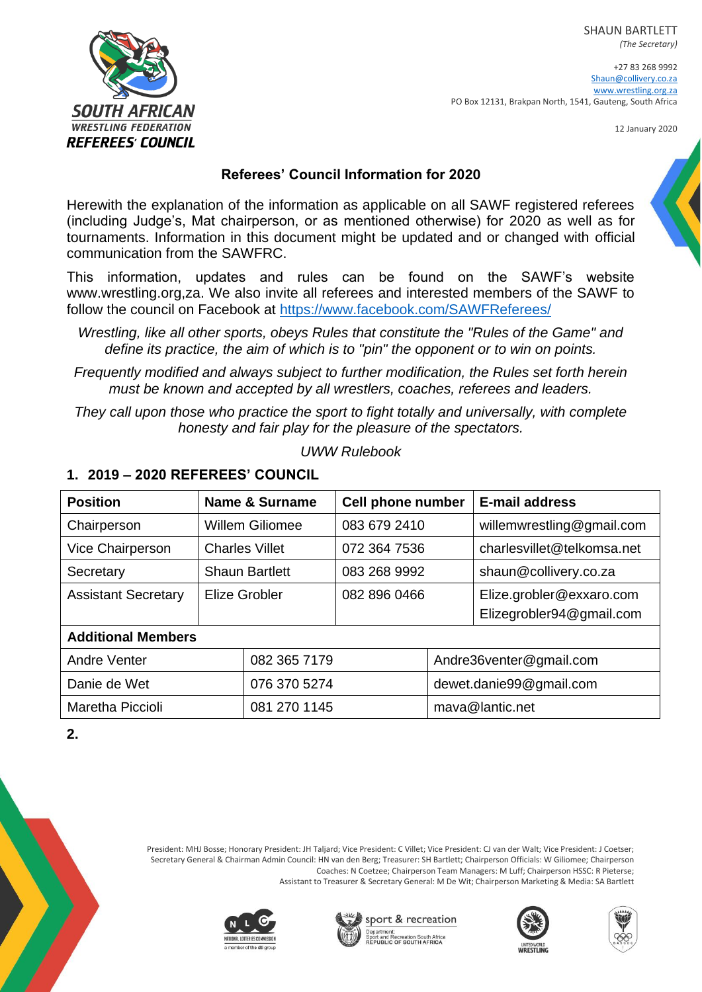SHAUN BARTLETT *(The Secretary)*



+27 83 268 9992 [Shaun@collivery.co.za](mailto:Shaun@collivery.co.za) [www.wrestling.org.za](http://www.wrestling.org.za/) PO Box 12131, Brakpan North, 1541, Gauteng, South Africa

12 January 2020

## **Referees' Council Information for 2020**

Herewith the explanation of the information as applicable on all SAWF registered referees (including Judge's, Mat chairperson, or as mentioned otherwise) for 2020 as well as for tournaments. Information in this document might be updated and or changed with official communication from the SAWFRC.

This information, updates and rules can be found on the SAWF's website www.wrestling.org,za. We also invite all referees and interested members of the SAWF to follow the council on Facebook at<https://www.facebook.com/SAWFReferees/>

*Frequently modified and always subject to further modification, the Rules set forth herein must be known and accepted by all wrestlers, coaches, referees and leaders.*

*They call upon those who practice the sport to fight totally and universally, with complete honesty and fair play for the pleasure of the spectators.*

*UWW Rulebook*

| <b>Position</b>                     | Name & Surname         |  | <b>Cell phone number</b> |                         | <b>E-mail address</b>      |  |
|-------------------------------------|------------------------|--|--------------------------|-------------------------|----------------------------|--|
| Chairperson                         | <b>Willem Giliomee</b> |  | 083 679 2410             |                         | willemwrestling@gmail.com  |  |
| Vice Chairperson                    | <b>Charles Villet</b>  |  | 072 364 7536             |                         | charlesvillet@telkomsa.net |  |
| Secretary                           | <b>Shaun Bartlett</b>  |  | 083 268 9992             |                         | shaun@collivery.co.za      |  |
| <b>Assistant Secretary</b>          | Elize Grobler          |  | 082 896 0466             |                         | Elize.grobler@exxaro.com   |  |
|                                     |                        |  |                          |                         | Elizegrobler94@gmail.com   |  |
| <b>Additional Members</b>           |                        |  |                          |                         |                            |  |
| <b>Andre Venter</b><br>082 365 7179 |                        |  |                          | Andre36venter@gmail.com |                            |  |
| Danie de Wet                        | 076 370 5274           |  |                          |                         | dewet.danie99@gmail.com    |  |
| Maretha Piccioli<br>081 270 1145    |                        |  | mava@lantic.net          |                         |                            |  |

### **1. 2019 – 2020 REFEREES' COUNCIL**

**2.**



President: MHJ Bosse; Honorary President: JH Taljard; Vice President: C Villet; Vice President: CJ van der Walt; Vice President: J Coetser; Secretary General & Chairman Admin Council: HN van den Berg; Treasurer: SH Bartlett; Chairperson Officials: W Giliomee; Chairperson Coaches: N Coetzee; Chairperson Team Managers: M Luff; Chairperson HSSC: R Pieterse; Assistant to Treasurer & Secretary General: M De Wit; Chairperson Marketing & Media: SA Bartlett









*Wrestling, like all other sports, obeys Rules that constitute the "Rules of the Game" and define its practice, the aim of which is to "pin" the opponent or to win on points.*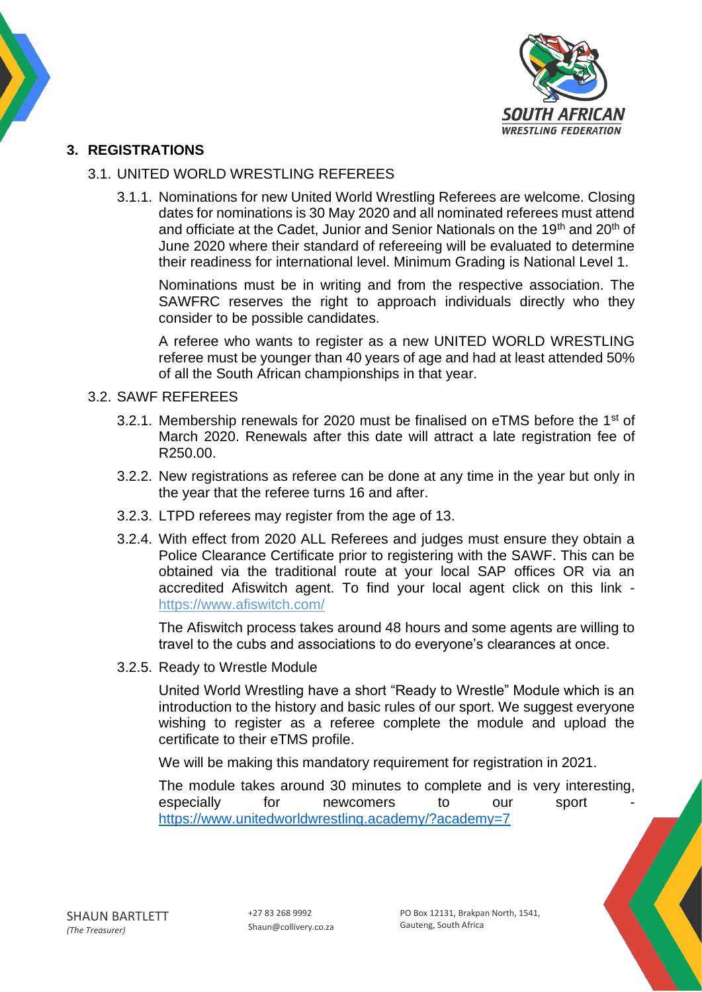

## **3. REGISTRATIONS**

#### 3.1. UNITED WORLD WRESTLING REFEREES

3.1.1. Nominations for new United World Wrestling Referees are welcome. Closing dates for nominations is 30 May 2020 and all nominated referees must attend and officiate at the Cadet, Junior and Senior Nationals on the 19<sup>th</sup> and 20<sup>th</sup> of June 2020 where their standard of refereeing will be evaluated to determine their readiness for international level. Minimum Grading is National Level 1.

Nominations must be in writing and from the respective association. The SAWFRC reserves the right to approach individuals directly who they consider to be possible candidates.

A referee who wants to register as a new UNITED WORLD WRESTLING referee must be younger than 40 years of age and had at least attended 50% of all the South African championships in that year.

#### 3.2. SAWF REFEREES

- 3.2.1. Membership renewals for 2020 must be finalised on eTMS before the 1<sup>st</sup> of March 2020. Renewals after this date will attract a late registration fee of R250.00.
- 3.2.2. New registrations as referee can be done at any time in the year but only in the year that the referee turns 16 and after.
- 3.2.3. LTPD referees may register from the age of 13.
- 3.2.4. With effect from 2020 ALL Referees and judges must ensure they obtain a Police Clearance Certificate prior to registering with the SAWF. This can be obtained via the traditional route at your local SAP offices OR via an accredited Afiswitch agent. To find your local agent click on this link <https://www.afiswitch.com/>

The Afiswitch process takes around 48 hours and some agents are willing to travel to the cubs and associations to do everyone's clearances at once.

3.2.5. Ready to Wrestle Module

United World Wrestling have a short "Ready to Wrestle" Module which is an introduction to the history and basic rules of our sport. We suggest everyone wishing to register as a referee complete the module and upload the certificate to their eTMS profile.

We will be making this mandatory requirement for registration in 2021.

The module takes around 30 minutes to complete and is very interesting, especially for newcomers to our sport <https://www.unitedworldwrestling.academy/?academy=7>

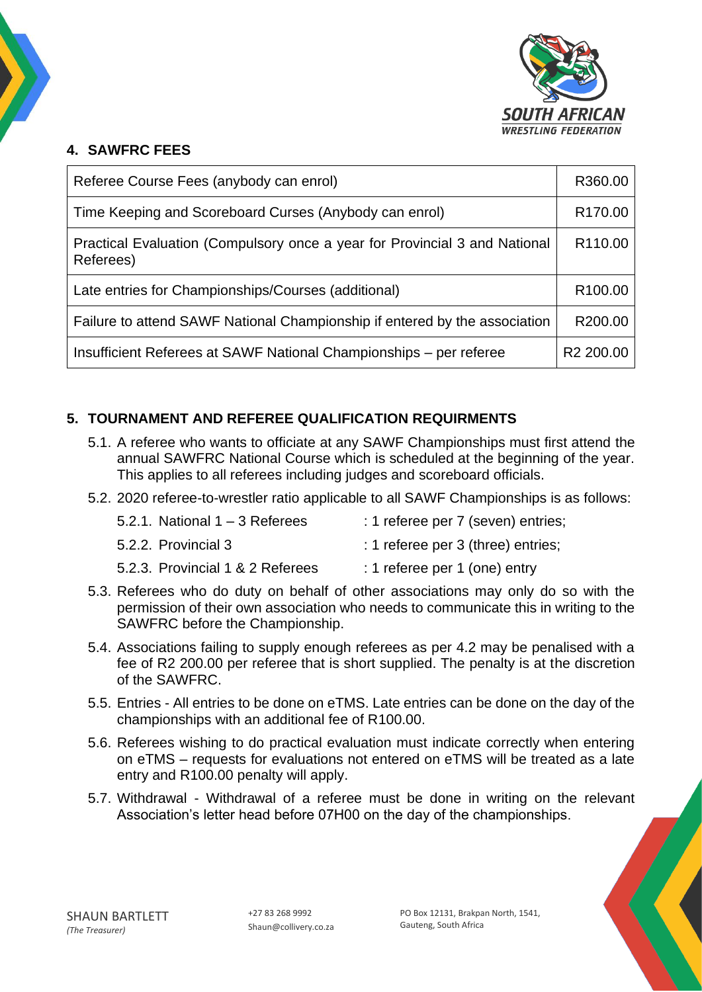

# **4. SAWFRC FEES**

| Referee Course Fees (anybody can enrol)                                                 |                     |  |
|-----------------------------------------------------------------------------------------|---------------------|--|
| Time Keeping and Scoreboard Curses (Anybody can enrol)                                  |                     |  |
| Practical Evaluation (Compulsory once a year for Provincial 3 and National<br>Referees) |                     |  |
| Late entries for Championships/Courses (additional)                                     | R <sub>100.00</sub> |  |
| Failure to attend SAWF National Championship if entered by the association              |                     |  |
| Insufficient Referees at SAWF National Championships – per referee                      |                     |  |

## **5. TOURNAMENT AND REFEREE QUALIFICATION REQUIRMENTS**

- 5.1. A referee who wants to officiate at any SAWF Championships must first attend the annual SAWFRC National Course which is scheduled at the beginning of the year. This applies to all referees including judges and scoreboard officials.
- 5.2. 2020 referee-to-wrestler ratio applicable to all SAWF Championships is as follows:

| 5.2.1. National $1 - 3$ Referees | : 1 referee per 7 (seven) entries; |
|----------------------------------|------------------------------------|
| 5.2.2. Provincial 3              | : 1 referee per 3 (three) entries; |
|                                  |                                    |

- 5.2.3. Provincial 1 & 2 Referees : 1 referee per 1 (one) entry
- 5.3. Referees who do duty on behalf of other associations may only do so with the permission of their own association who needs to communicate this in writing to the SAWFRC before the Championship.
- 5.4. Associations failing to supply enough referees as per 4.2 may be penalised with a fee of R2 200.00 per referee that is short supplied. The penalty is at the discretion of the SAWFRC.
- 5.5. Entries All entries to be done on eTMS. Late entries can be done on the day of the championships with an additional fee of R100.00.
- 5.6. Referees wishing to do practical evaluation must indicate correctly when entering on eTMS – requests for evaluations not entered on eTMS will be treated as a late entry and R100.00 penalty will apply.
- 5.7. Withdrawal Withdrawal of a referee must be done in writing on the relevant Association's letter head before 07H00 on the day of the championships.

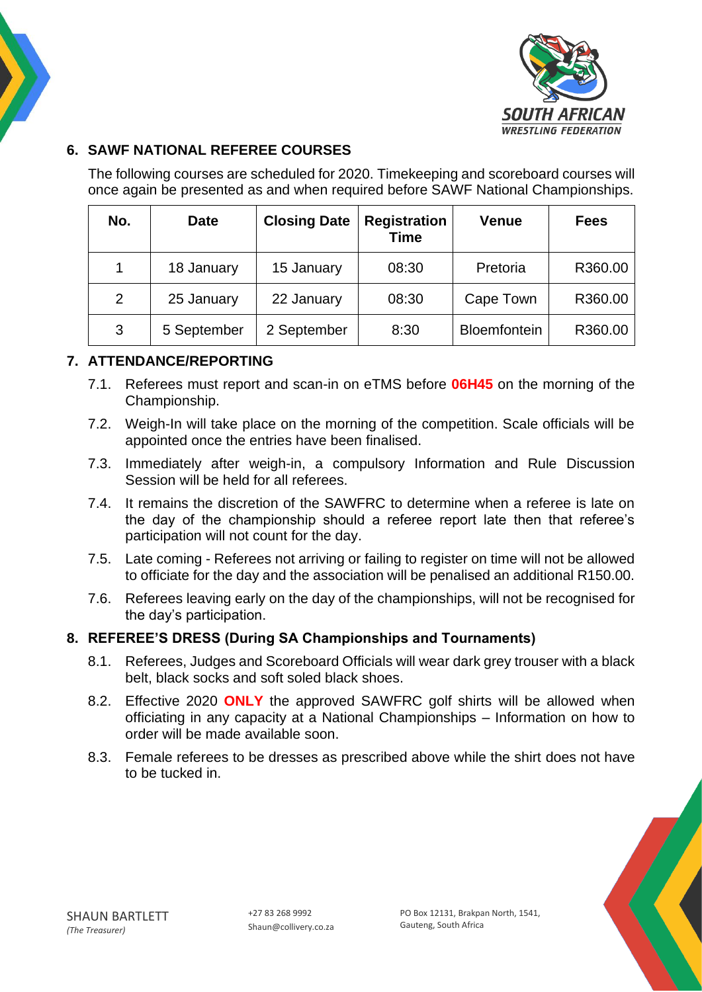



# **6. SAWF NATIONAL REFEREE COURSES**

The following courses are scheduled for 2020. Timekeeping and scoreboard courses will once again be presented as and when required before SAWF National Championships.

| No. | <b>Date</b> | <b>Closing Date</b> | <b>Registration</b><br><b>Time</b> | <b>Venue</b>        | <b>Fees</b> |
|-----|-------------|---------------------|------------------------------------|---------------------|-------------|
| 1   | 18 January  | 15 January          | 08:30                              | Pretoria            | R360.00     |
| 2   | 25 January  | 22 January          | 08:30                              | Cape Town           | R360.00     |
| 3   | 5 September | 2 September         | 8:30                               | <b>Bloemfontein</b> | R360.00     |

## **7. ATTENDANCE/REPORTING**

- 7.1. Referees must report and scan-in on eTMS before **06H45** on the morning of the Championship.
- 7.2. Weigh-In will take place on the morning of the competition. Scale officials will be appointed once the entries have been finalised.
- 7.3. Immediately after weigh-in, a compulsory Information and Rule Discussion Session will be held for all referees.
- 7.4. It remains the discretion of the SAWFRC to determine when a referee is late on the day of the championship should a referee report late then that referee's participation will not count for the day.
- 7.5. Late coming Referees not arriving or failing to register on time will not be allowed to officiate for the day and the association will be penalised an additional R150.00.
- 7.6. Referees leaving early on the day of the championships, will not be recognised for the day's participation.

## **8. REFEREE'S DRESS (During SA Championships and Tournaments)**

- 8.1. Referees, Judges and Scoreboard Officials will wear dark grey trouser with a black belt, black socks and soft soled black shoes.
- 8.2. Effective 2020 **ONLY** the approved SAWFRC golf shirts will be allowed when officiating in any capacity at a National Championships – Information on how to order will be made available soon.
- 8.3. Female referees to be dresses as prescribed above while the shirt does not have to be tucked in.

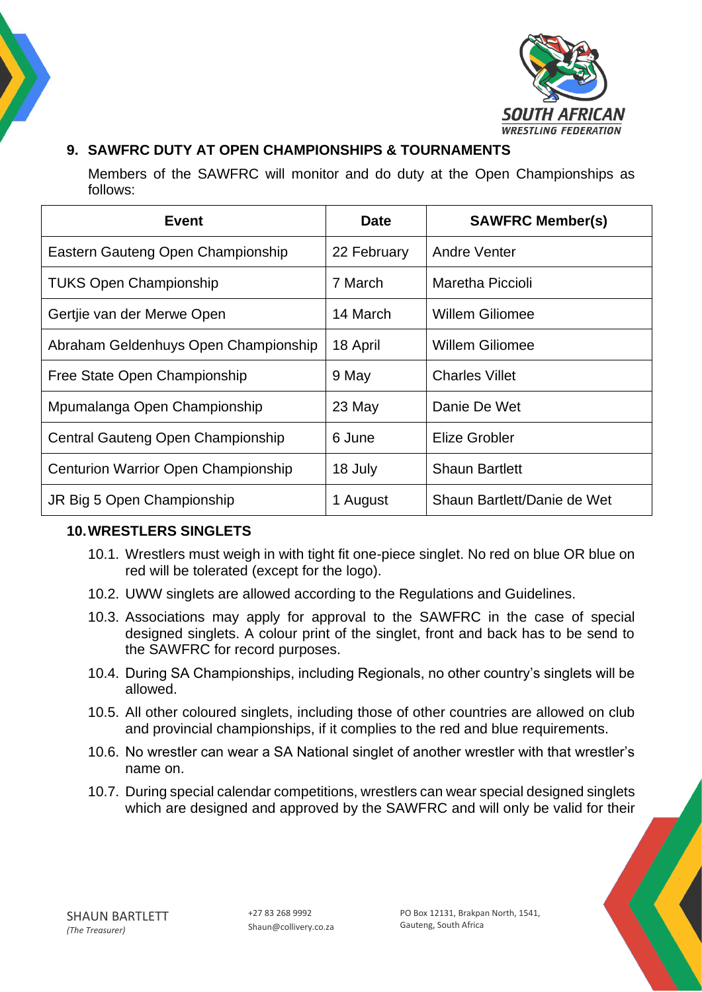



## **9. SAWFRC DUTY AT OPEN CHAMPIONSHIPS & TOURNAMENTS**

Members of the SAWFRC will monitor and do duty at the Open Championships as follows:

| Event                                      | <b>Date</b> | <b>SAWFRC Member(s)</b>     |
|--------------------------------------------|-------------|-----------------------------|
| Eastern Gauteng Open Championship          | 22 February | <b>Andre Venter</b>         |
| <b>TUKS Open Championship</b>              | 7 March     | Maretha Piccioli            |
| Gertjie van der Merwe Open                 | 14 March    | <b>Willem Giliomee</b>      |
| Abraham Geldenhuys Open Championship       | 18 April    | <b>Willem Giliomee</b>      |
| Free State Open Championship               | 9 May       | <b>Charles Villet</b>       |
| Mpumalanga Open Championship               | 23 May      | Danie De Wet                |
| Central Gauteng Open Championship          | 6 June      | Elize Grobler               |
| <b>Centurion Warrior Open Championship</b> | 18 July     | <b>Shaun Bartlett</b>       |
| JR Big 5 Open Championship                 | 1 August    | Shaun Bartlett/Danie de Wet |

## **10.WRESTLERS SINGLETS**

- 10.1. Wrestlers must weigh in with tight fit one-piece singlet. No red on blue OR blue on red will be tolerated (except for the logo).
- 10.2. UWW singlets are allowed according to the Regulations and Guidelines.
- 10.3. Associations may apply for approval to the SAWFRC in the case of special designed singlets. A colour print of the singlet, front and back has to be send to the SAWFRC for record purposes.
- 10.4. During SA Championships, including Regionals, no other country's singlets will be allowed.
- 10.5. All other coloured singlets, including those of other countries are allowed on club and provincial championships, if it complies to the red and blue requirements.
- 10.6. No wrestler can wear a SA National singlet of another wrestler with that wrestler's name on.
- 10.7. During special calendar competitions, wrestlers can wear special designed singlets which are designed and approved by the SAWFRC and will only be valid for their